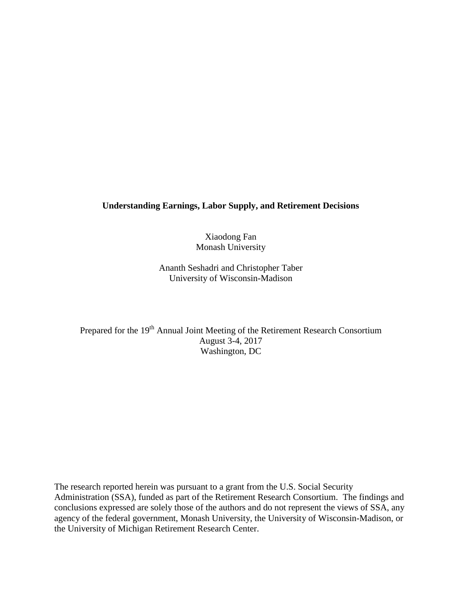## **Understanding Earnings, Labor Supply, and Retirement Decisions**

Xiaodong Fan Monash University

Ananth Seshadri and Christopher Taber University of Wisconsin-Madison

Prepared for the 19<sup>th</sup> Annual Joint Meeting of the Retirement Research Consortium August 3-4, 2017 Washington, DC

The research reported herein was pursuant to a grant from the U.S. Social Security Administration (SSA), funded as part of the Retirement Research Consortium. The findings and conclusions expressed are solely those of the authors and do not represent the views of SSA, any agency of the federal government, Monash University, the University of Wisconsin-Madison, or the University of Michigan Retirement Research Center.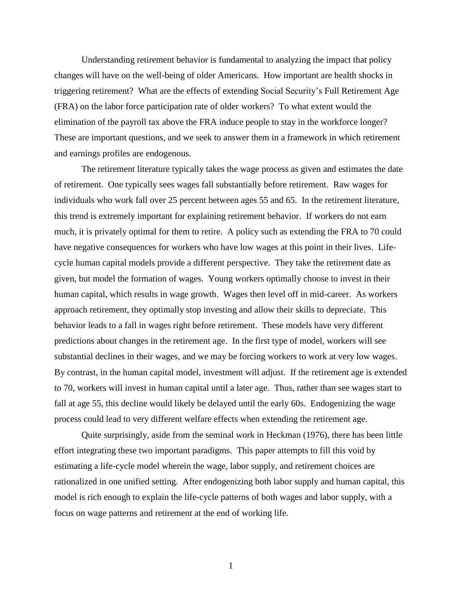Understanding retirement behavior is fundamental to analyzing the impact that policy changes will have on the well-being of older Americans. How important are health shocks in triggering retirement? What are the effects of extending Social Security's Full Retirement Age (FRA) on the labor force participation rate of older workers? To what extent would the elimination of the payroll tax above the FRA induce people to stay in the workforce longer? These are important questions, and we seek to answer them in a framework in which retirement and earnings profiles are endogenous.

The retirement literature typically takes the wage process as given and estimates the date of retirement. One typically sees wages fall substantially before retirement. Raw wages for individuals who work fall over 25 percent between ages 55 and 65. In the retirement literature, this trend is extremely important for explaining retirement behavior. If workers do not earn much, it is privately optimal for them to retire. A policy such as extending the FRA to 70 could have negative consequences for workers who have low wages at this point in their lives. Lifecycle human capital models provide a different perspective. They take the retirement date as given, but model the formation of wages. Young workers optimally choose to invest in their human capital, which results in wage growth. Wages then level off in mid-career. As workers approach retirement, they optimally stop investing and allow their skills to depreciate. This behavior leads to a fall in wages right before retirement. These models have very different predictions about changes in the retirement age. In the first type of model, workers will see substantial declines in their wages, and we may be forcing workers to work at very low wages. By contrast, in the human capital model, investment will adjust. If the retirement age is extended to 70, workers will invest in human capital until a later age. Thus, rather than see wages start to fall at age 55, this decline would likely be delayed until the early 60s. Endogenizing the wage process could lead to very different welfare effects when extending the retirement age.

Quite surprisingly, aside from the seminal work in Heckman (1976), there has been little effort integrating these two important paradigms. This paper attempts to fill this void by estimating a life-cycle model wherein the wage, labor supply, and retirement choices are rationalized in one unified setting. After endogenizing both labor supply and human capital, this model is rich enough to explain the life-cycle patterns of both wages and labor supply, with a focus on wage patterns and retirement at the end of working life.

1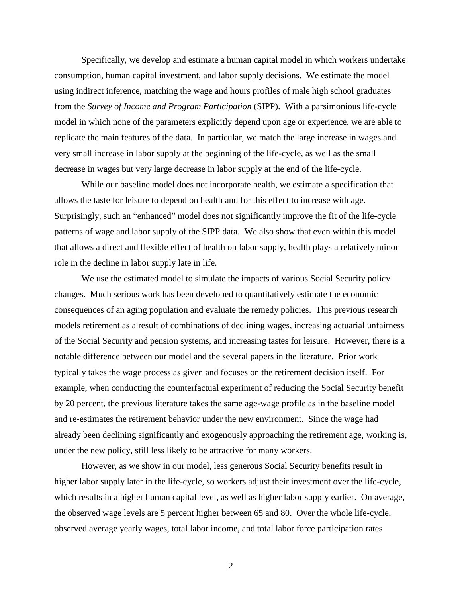Specifically, we develop and estimate a human capital model in which workers undertake consumption, human capital investment, and labor supply decisions. We estimate the model using indirect inference, matching the wage and hours profiles of male high school graduates from the *Survey of Income and Program Participation* (SIPP). With a parsimonious life-cycle model in which none of the parameters explicitly depend upon age or experience, we are able to replicate the main features of the data. In particular, we match the large increase in wages and very small increase in labor supply at the beginning of the life-cycle, as well as the small decrease in wages but very large decrease in labor supply at the end of the life-cycle.

While our baseline model does not incorporate health, we estimate a specification that allows the taste for leisure to depend on health and for this effect to increase with age. Surprisingly, such an "enhanced" model does not significantly improve the fit of the life-cycle patterns of wage and labor supply of the SIPP data. We also show that even within this model that allows a direct and flexible effect of health on labor supply, health plays a relatively minor role in the decline in labor supply late in life.

We use the estimated model to simulate the impacts of various Social Security policy changes. Much serious work has been developed to quantitatively estimate the economic consequences of an aging population and evaluate the remedy policies. This previous research models retirement as a result of combinations of declining wages, increasing actuarial unfairness of the Social Security and pension systems, and increasing tastes for leisure. However, there is a notable difference between our model and the several papers in the literature. Prior work typically takes the wage process as given and focuses on the retirement decision itself. For example, when conducting the counterfactual experiment of reducing the Social Security benefit by 20 percent, the previous literature takes the same age-wage profile as in the baseline model and re-estimates the retirement behavior under the new environment. Since the wage had already been declining significantly and exogenously approaching the retirement age, working is, under the new policy, still less likely to be attractive for many workers.

However, as we show in our model, less generous Social Security benefits result in higher labor supply later in the life-cycle, so workers adjust their investment over the life-cycle, which results in a higher human capital level, as well as higher labor supply earlier. On average, the observed wage levels are 5 percent higher between 65 and 80. Over the whole life-cycle, observed average yearly wages, total labor income, and total labor force participation rates

2